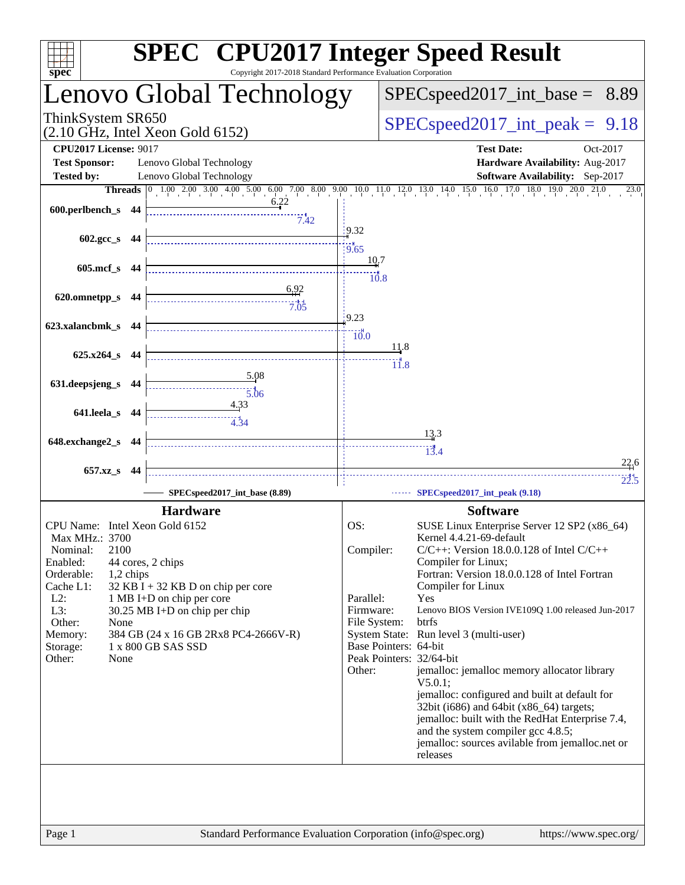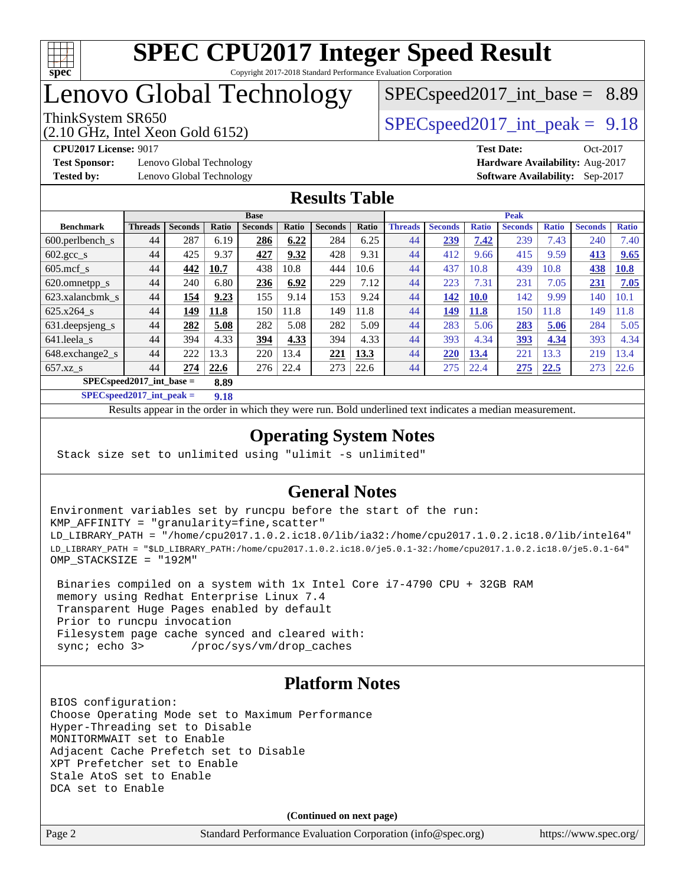

# Lenovo Global Technology

# $SPECspeed2017\_int\_base = 8.89$

(2.10 GHz, Intel Xeon Gold 6152)

ThinkSystem SR650  $SPEC speed2017$  int peak = 9.18

**[Test Sponsor:](http://www.spec.org/auto/cpu2017/Docs/result-fields.html#TestSponsor)** Lenovo Global Technology **[Hardware Availability:](http://www.spec.org/auto/cpu2017/Docs/result-fields.html#HardwareAvailability)** Aug-2017 **[Tested by:](http://www.spec.org/auto/cpu2017/Docs/result-fields.html#Testedby)** Lenovo Global Technology **[Software Availability:](http://www.spec.org/auto/cpu2017/Docs/result-fields.html#SoftwareAvailability)** Sep-2017

**[CPU2017 License:](http://www.spec.org/auto/cpu2017/Docs/result-fields.html#CPU2017License)** 9017 **[Test Date:](http://www.spec.org/auto/cpu2017/Docs/result-fields.html#TestDate)** Oct-2017

## **[Results Table](http://www.spec.org/auto/cpu2017/Docs/result-fields.html#ResultsTable)**

|                                    | <b>Base</b>    |                |       |                |       | <b>Peak</b>    |       |                |                |              |                |              |                |              |
|------------------------------------|----------------|----------------|-------|----------------|-------|----------------|-------|----------------|----------------|--------------|----------------|--------------|----------------|--------------|
| <b>Benchmark</b>                   | <b>Threads</b> | <b>Seconds</b> | Ratio | <b>Seconds</b> | Ratio | <b>Seconds</b> | Ratio | <b>Threads</b> | <b>Seconds</b> | <b>Ratio</b> | <b>Seconds</b> | <b>Ratio</b> | <b>Seconds</b> | <b>Ratio</b> |
| $600.$ perlbench_s                 | 44             | 287            | 6.19  | 286            | 6.22  | 284            | 6.25  | 44             | 239            | 7.42         | 239            | 7.43         | 240            | 7.40         |
| 602.gcc_s                          | 44             | 425            | 9.37  | 427            | 9.32  | 428            | 9.31  | 44             | 412            | 9.66         | 415            | 9.59         | 413            | 9.65         |
| $605$ .mcf s                       | 44             | 442            | 10.7  | 438            | 10.8  | 444            | 10.6  | 44             | 437            | 10.8         | 439            | 10.8         | 438            | 10.8         |
| 620.omnetpp_s                      | 44             | 240            | 6.80  | 236            | 6.92  | 229            | 7.12  | 44             | 223            | 7.31         | 231            | 7.05         | 231            | 7.05         |
| 623.xalancbmk s                    | 44             | 154            | 9.23  | 155            | 9.14  | 153            | 9.24  | 44             | 142            | <b>10.0</b>  | 142            | 9.99         | 140            | 10.1         |
| 625.x264 s                         | 44             | 149            | 11.8  | 150            | 11.8  | 149            | 11.8  | 44             | 149            | 11.8         | 150            | 1.8          | 149            | 1.8          |
| 631.deepsjeng_s                    | 44             | 282            | 5.08  | 282            | 5.08  | 282            | 5.09  | 44             | 283            | 5.06         | 283            | 5.06         | 284            | 5.05         |
| 641.leela s                        | 44             | 394            | 4.33  | 394            | 4.33  | 394            | 4.33  | 44             | 393            | 4.34         | <u>393</u>     | 4.34         | 393            | 4.34         |
| 648.exchange2_s                    | 44             | 222            | 13.3  | 220            | 13.4  | 221            | 13.3  | 44             | 220            | 13.4         | 221            | 3.3          | 219            | 13.4         |
| $657.xz$ <sub>S</sub>              | 44             | 274            | 22.6  | 276            | 22.4  | 273            | 22.6  | 44             | 275            | 22.4         | 275            | 22.5         | 273            | 22.6         |
| $SPECspeed2017$ int base =<br>8.89 |                |                |       |                |       |                |       |                |                |              |                |              |                |              |

**[SPECspeed2017\\_int\\_peak =](http://www.spec.org/auto/cpu2017/Docs/result-fields.html#SPECspeed2017intpeak) 9.18**

Results appear in the [order in which they were run.](http://www.spec.org/auto/cpu2017/Docs/result-fields.html#RunOrder) Bold underlined text [indicates a median measurement](http://www.spec.org/auto/cpu2017/Docs/result-fields.html#Median).

## **[Operating System Notes](http://www.spec.org/auto/cpu2017/Docs/result-fields.html#OperatingSystemNotes)**

Stack size set to unlimited using "ulimit -s unlimited"

## **[General Notes](http://www.spec.org/auto/cpu2017/Docs/result-fields.html#GeneralNotes)**

Environment variables set by runcpu before the start of the run: KMP\_AFFINITY = "granularity=fine,scatter" LD\_LIBRARY\_PATH = "/home/cpu2017.1.0.2.ic18.0/lib/ia32:/home/cpu2017.1.0.2.ic18.0/lib/intel64" LD\_LIBRARY\_PATH = "\$LD\_LIBRARY\_PATH:/home/cpu2017.1.0.2.ic18.0/je5.0.1-32:/home/cpu2017.1.0.2.ic18.0/je5.0.1-64" OMP\_STACKSIZE = "192M"

 Binaries compiled on a system with 1x Intel Core i7-4790 CPU + 32GB RAM memory using Redhat Enterprise Linux 7.4 Transparent Huge Pages enabled by default Prior to runcpu invocation Filesystem page cache synced and cleared with: sync; echo 3> /proc/sys/vm/drop\_caches

## **[Platform Notes](http://www.spec.org/auto/cpu2017/Docs/result-fields.html#PlatformNotes)**

BIOS configuration: Choose Operating Mode set to Maximum Performance Hyper-Threading set to Disable MONITORMWAIT set to Enable Adjacent Cache Prefetch set to Disable XPT Prefetcher set to Enable Stale AtoS set to Enable DCA set to Enable

**(Continued on next page)**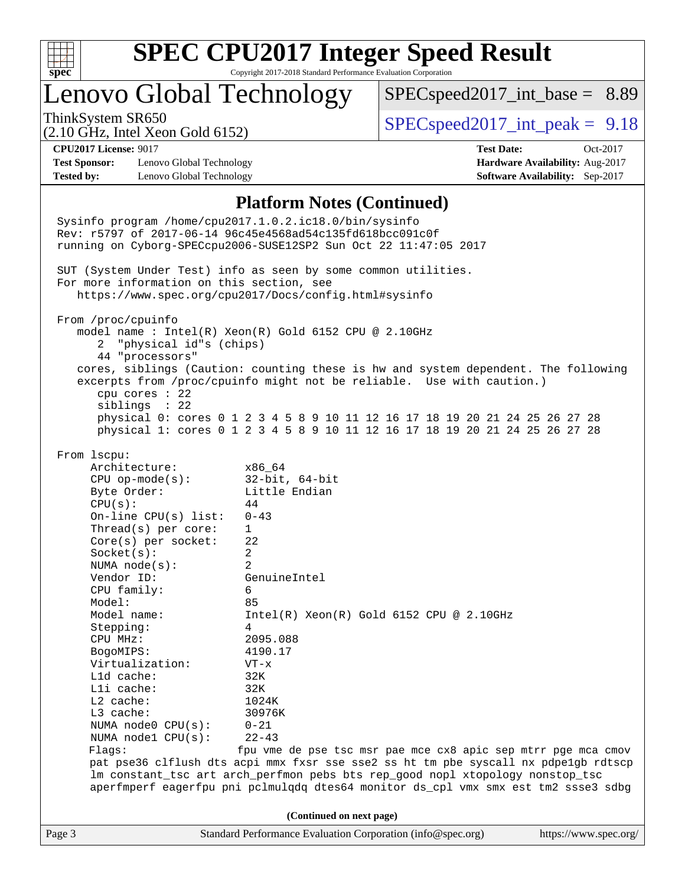

# Lenovo Global Technology

 $SPECspeed2017\_int\_base = 8.89$ 

(2.10 GHz, Intel Xeon Gold 6152)

ThinkSystem SR650  $SPEC speed2017$  int peak = 9.18

**[Test Sponsor:](http://www.spec.org/auto/cpu2017/Docs/result-fields.html#TestSponsor)** Lenovo Global Technology **[Hardware Availability:](http://www.spec.org/auto/cpu2017/Docs/result-fields.html#HardwareAvailability)** Aug-2017 **[Tested by:](http://www.spec.org/auto/cpu2017/Docs/result-fields.html#Testedby)** Lenovo Global Technology **[Software Availability:](http://www.spec.org/auto/cpu2017/Docs/result-fields.html#SoftwareAvailability)** Sep-2017

**[CPU2017 License:](http://www.spec.org/auto/cpu2017/Docs/result-fields.html#CPU2017License)** 9017 **[Test Date:](http://www.spec.org/auto/cpu2017/Docs/result-fields.html#TestDate)** Oct-2017

#### **[Platform Notes \(Continued\)](http://www.spec.org/auto/cpu2017/Docs/result-fields.html#PlatformNotes)**

Page 3 Standard Performance Evaluation Corporation [\(info@spec.org\)](mailto:info@spec.org) <https://www.spec.org/> Sysinfo program /home/cpu2017.1.0.2.ic18.0/bin/sysinfo Rev: r5797 of 2017-06-14 96c45e4568ad54c135fd618bcc091c0f running on Cyborg-SPECcpu2006-SUSE12SP2 Sun Oct 22 11:47:05 2017 SUT (System Under Test) info as seen by some common utilities. For more information on this section, see <https://www.spec.org/cpu2017/Docs/config.html#sysinfo> From /proc/cpuinfo model name : Intel(R) Xeon(R) Gold 6152 CPU @ 2.10GHz 2 "physical id"s (chips) 44 "processors" cores, siblings (Caution: counting these is hw and system dependent. The following excerpts from /proc/cpuinfo might not be reliable. Use with caution.) cpu cores : 22 siblings : 22 physical 0: cores 0 1 2 3 4 5 8 9 10 11 12 16 17 18 19 20 21 24 25 26 27 28 physical 1: cores 0 1 2 3 4 5 8 9 10 11 12 16 17 18 19 20 21 24 25 26 27 28 From lscpu: Architecture: x86\_64 CPU op-mode(s): 32-bit, 64-bit Byte Order: Little Endian  $CPU(s):$  44 On-line CPU(s) list: 0-43 Thread(s) per core: 1 Core(s) per socket: 22 Socket(s): 2 NUMA node(s): 2 Vendor ID: GenuineIntel CPU family: 6 Model: 85 Model name:  $Intel(R)$  Xeon(R) Gold 6152 CPU @ 2.10GHz Stepping: 4 CPU MHz: 2095.088 BogoMIPS: 4190.17 Virtualization: VT-x L1d cache: 32K L1i cache: 32K L2 cache: 1024K L3 cache: 30976K NUMA node0 CPU(s): 0-21 NUMA node1 CPU(s): 22-43 Flags: fpu vme de pse tsc msr pae mce cx8 apic sep mtrr pge mca cmov pat pse36 clflush dts acpi mmx fxsr sse sse2 ss ht tm pbe syscall nx pdpe1gb rdtscp lm constant\_tsc art arch\_perfmon pebs bts rep\_good nopl xtopology nonstop\_tsc aperfmperf eagerfpu pni pclmulqdq dtes64 monitor ds\_cpl vmx smx est tm2 ssse3 sdbg **(Continued on next page)**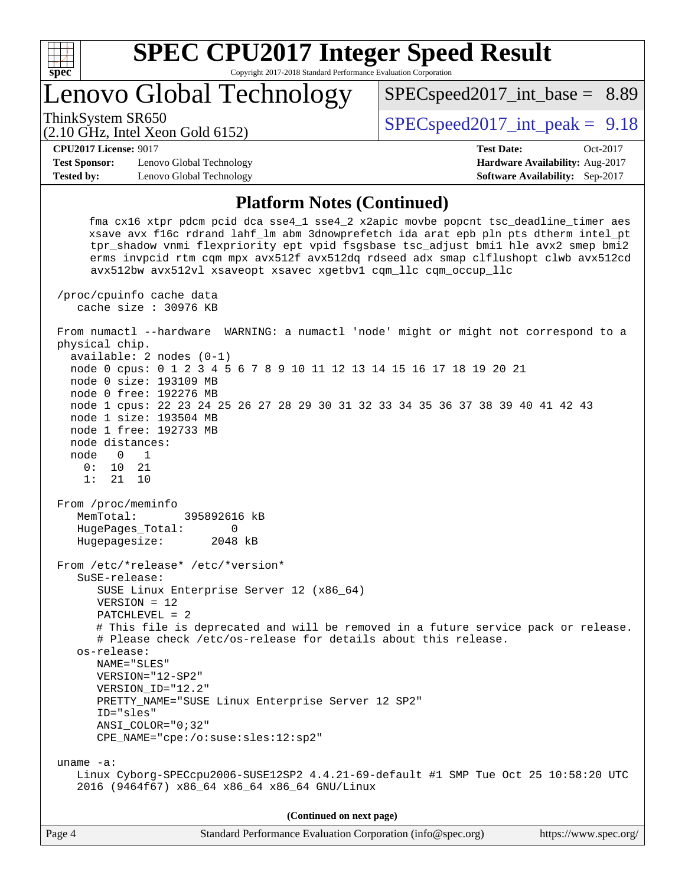

Lenovo Global Technology

ThinkSystem SR650  $SPEC speed2017$  int peak = 9.18

 $SPECspeed2017\_int\_base = 8.89$ 

#### (2.10 GHz, Intel Xeon Gold 6152)

**[CPU2017 License:](http://www.spec.org/auto/cpu2017/Docs/result-fields.html#CPU2017License)** 9017 **[Test Date:](http://www.spec.org/auto/cpu2017/Docs/result-fields.html#TestDate)** Oct-2017 **[Test Sponsor:](http://www.spec.org/auto/cpu2017/Docs/result-fields.html#TestSponsor)** Lenovo Global Technology **[Hardware Availability:](http://www.spec.org/auto/cpu2017/Docs/result-fields.html#HardwareAvailability)** Aug-2017

## **[Platform Notes \(Continued\)](http://www.spec.org/auto/cpu2017/Docs/result-fields.html#PlatformNotes)**

**[Tested by:](http://www.spec.org/auto/cpu2017/Docs/result-fields.html#Testedby)** Lenovo Global Technology **[Software Availability:](http://www.spec.org/auto/cpu2017/Docs/result-fields.html#SoftwareAvailability)** Sep-2017

 fma cx16 xtpr pdcm pcid dca sse4\_1 sse4\_2 x2apic movbe popcnt tsc\_deadline\_timer aes xsave avx f16c rdrand lahf\_lm abm 3dnowprefetch ida arat epb pln pts dtherm intel\_pt tpr\_shadow vnmi flexpriority ept vpid fsgsbase tsc\_adjust bmi1 hle avx2 smep bmi2 erms invpcid rtm cqm mpx avx512f avx512dq rdseed adx smap clflushopt clwb avx512cd avx512bw avx512vl xsaveopt xsavec xgetbv1 cqm\_llc cqm\_occup\_llc /proc/cpuinfo cache data cache size : 30976 KB From numactl --hardware WARNING: a numactl 'node' might or might not correspond to a physical chip. available: 2 nodes (0-1) node 0 cpus: 0 1 2 3 4 5 6 7 8 9 10 11 12 13 14 15 16 17 18 19 20 21 node 0 size: 193109 MB node 0 free: 192276 MB node 1 cpus: 22 23 24 25 26 27 28 29 30 31 32 33 34 35 36 37 38 39 40 41 42 43 node 1 size: 193504 MB node 1 free: 192733 MB node distances: node 0 1 0: 10 21 1: 21 10 From /proc/meminfo MemTotal: 395892616 kB HugePages\_Total: 0 Hugepagesize: 2048 kB From /etc/\*release\* /etc/\*version\* SuSE-release: SUSE Linux Enterprise Server 12 (x86\_64) VERSION = 12 PATCHLEVEL = 2 # This file is deprecated and will be removed in a future service pack or release. # Please check /etc/os-release for details about this release. os-release: NAME="SLES" VERSION="12-SP2" VERSION\_ID="12.2" PRETTY\_NAME="SUSE Linux Enterprise Server 12 SP2" ID="sles" ANSI\_COLOR="0;32" CPE\_NAME="cpe:/o:suse:sles:12:sp2" uname -a: Linux Cyborg-SPECcpu2006-SUSE12SP2 4.4.21-69-default #1 SMP Tue Oct 25 10:58:20 UTC 2016 (9464f67) x86\_64 x86\_64 x86\_64 GNU/Linux **(Continued on next page)**

Page 4 Standard Performance Evaluation Corporation [\(info@spec.org\)](mailto:info@spec.org) <https://www.spec.org/>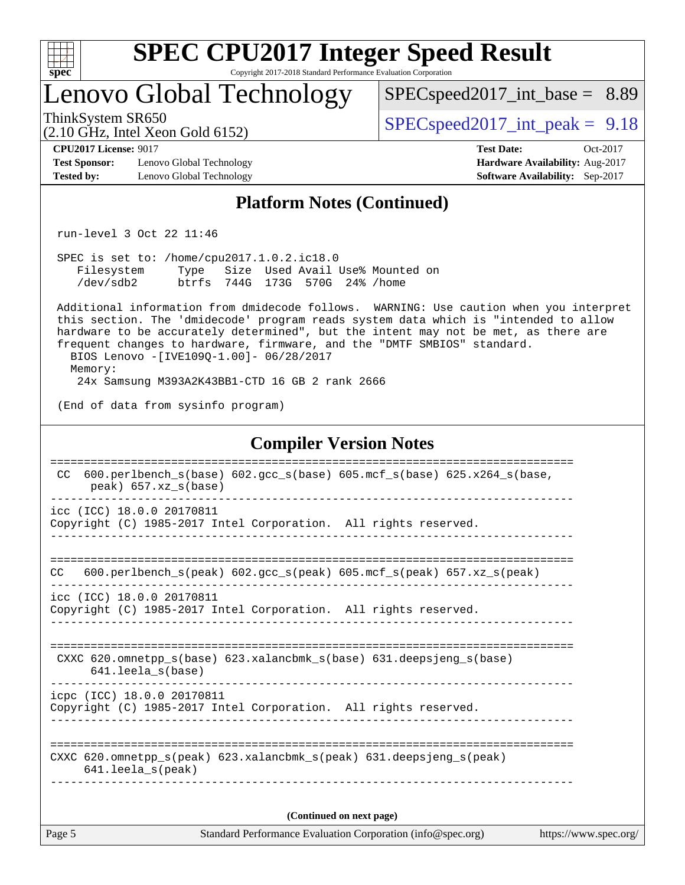

# Lenovo Global Technology

 $SPECspeed2017\_int\_base = 8.89$ 

ThinkSystem SR650  $SPEC speed2017$  int peak = 9.18

**[CPU2017 License:](http://www.spec.org/auto/cpu2017/Docs/result-fields.html#CPU2017License)** 9017 **[Test Date:](http://www.spec.org/auto/cpu2017/Docs/result-fields.html#TestDate)** Oct-2017

**[Test Sponsor:](http://www.spec.org/auto/cpu2017/Docs/result-fields.html#TestSponsor)** Lenovo Global Technology **[Hardware Availability:](http://www.spec.org/auto/cpu2017/Docs/result-fields.html#HardwareAvailability)** Aug-2017 **[Tested by:](http://www.spec.org/auto/cpu2017/Docs/result-fields.html#Testedby)** Lenovo Global Technology **[Software Availability:](http://www.spec.org/auto/cpu2017/Docs/result-fields.html#SoftwareAvailability)** Sep-2017

(2.10 GHz, Intel Xeon Gold 6152)

## **[Platform Notes \(Continued\)](http://www.spec.org/auto/cpu2017/Docs/result-fields.html#PlatformNotes)**

run-level 3 Oct 22 11:46

 SPEC is set to: /home/cpu2017.1.0.2.ic18.0 Filesystem Type Size Used Avail Use% Mounted on /dev/sdb2 btrfs 744G 173G 570G 24% /home

 Additional information from dmidecode follows. WARNING: Use caution when you interpret this section. The 'dmidecode' program reads system data which is "intended to allow hardware to be accurately determined", but the intent may not be met, as there are frequent changes to hardware, firmware, and the "DMTF SMBIOS" standard. BIOS Lenovo -[IVE109Q-1.00]- 06/28/2017 Memory:

24x Samsung M393A2K43BB1-CTD 16 GB 2 rank 2666

(End of data from sysinfo program)

### **[Compiler Version Notes](http://www.spec.org/auto/cpu2017/Docs/result-fields.html#CompilerVersionNotes)**

| CC.    | 600.perlbench $s(base)$ 602.qcc $s(base)$ 605.mcf $s(base)$ 625.x264 $s(base)$ ,<br>peak) 657.xz s(base)                          |
|--------|-----------------------------------------------------------------------------------------------------------------------------------|
|        | icc (ICC) 18.0.0 20170811                                                                                                         |
|        | Copyright (C) 1985-2017 Intel Corporation. All rights reserved.                                                                   |
|        |                                                                                                                                   |
| CC.    | 600.perlbench $s$ (peak) 602.gcc $s$ (peak) 605.mcf $s$ (peak) 657.xz $s$ (peak)                                                  |
|        | icc (ICC) 18.0.0 20170811                                                                                                         |
|        | Copyright (C) 1985-2017 Intel Corporation. All rights reserved.                                                                   |
|        |                                                                                                                                   |
|        | CXXC 620.omnetpp $s(base)$ 623.xalancbmk $s(base)$ 631.deepsjeng $s(base)$                                                        |
|        | $641.$ leela $s$ (base)                                                                                                           |
|        | icpc (ICC) 18.0.0 20170811                                                                                                        |
|        | Copyright (C) 1985-2017 Intel Corporation. All rights reserved.                                                                   |
|        |                                                                                                                                   |
|        | ------------------------------<br>CXXC 620.omnetpp $s(\text{peak})$ 623.xalancbmk $s(\text{peak})$ 631.deepsjeng $s(\text{peak})$ |
|        | $641.$ leela_s(peak)                                                                                                              |
|        |                                                                                                                                   |
|        | (Continued on next page)                                                                                                          |
| Page 5 | Standard Performance Evaluation Corporation (info@spec.org)<br>https://www.spec.org/                                              |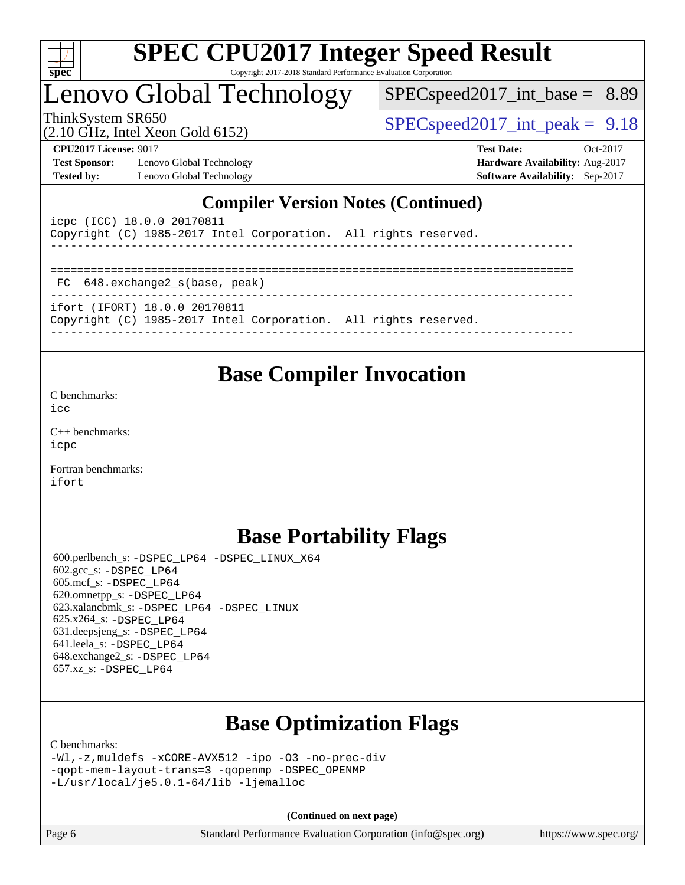

# Lenovo Global Technology

 $SPECspeed2017\_int\_base = 8.89$ 

(2.10 GHz, Intel Xeon Gold 6152)

ThinkSystem SR650  $SPEC speed2017$  int peak = 9.18

**[Test Sponsor:](http://www.spec.org/auto/cpu2017/Docs/result-fields.html#TestSponsor)** Lenovo Global Technology **[Hardware Availability:](http://www.spec.org/auto/cpu2017/Docs/result-fields.html#HardwareAvailability)** Aug-2017 **[Tested by:](http://www.spec.org/auto/cpu2017/Docs/result-fields.html#Testedby)** Lenovo Global Technology **[Software Availability:](http://www.spec.org/auto/cpu2017/Docs/result-fields.html#SoftwareAvailability)** Sep-2017

**[CPU2017 License:](http://www.spec.org/auto/cpu2017/Docs/result-fields.html#CPU2017License)** 9017 **[Test Date:](http://www.spec.org/auto/cpu2017/Docs/result-fields.html#TestDate)** Oct-2017

## **[Compiler Version Notes \(Continued\)](http://www.spec.org/auto/cpu2017/Docs/result-fields.html#CompilerVersionNotes)**

| icpc (ICC) 18.0.0 20170811<br>Copyright (C) 1985-2017 Intel Corporation. All rights reserved.    |  |
|--------------------------------------------------------------------------------------------------|--|
| FC 648.exchange2_s(base, peak)                                                                   |  |
| ifort (IFORT) 18.0.0 20170811<br>Copyright (C) 1985-2017 Intel Corporation. All rights reserved. |  |

## **[Base Compiler Invocation](http://www.spec.org/auto/cpu2017/Docs/result-fields.html#BaseCompilerInvocation)**

[C benchmarks](http://www.spec.org/auto/cpu2017/Docs/result-fields.html#Cbenchmarks):

[icc](http://www.spec.org/cpu2017/results/res2017q4/cpu2017-20171031-00303.flags.html#user_CCbase_intel_icc_18.0_66fc1ee009f7361af1fbd72ca7dcefbb700085f36577c54f309893dd4ec40d12360134090235512931783d35fd58c0460139e722d5067c5574d8eaf2b3e37e92)

[C++ benchmarks:](http://www.spec.org/auto/cpu2017/Docs/result-fields.html#CXXbenchmarks) [icpc](http://www.spec.org/cpu2017/results/res2017q4/cpu2017-20171031-00303.flags.html#user_CXXbase_intel_icpc_18.0_c510b6838c7f56d33e37e94d029a35b4a7bccf4766a728ee175e80a419847e808290a9b78be685c44ab727ea267ec2f070ec5dc83b407c0218cded6866a35d07)

[Fortran benchmarks](http://www.spec.org/auto/cpu2017/Docs/result-fields.html#Fortranbenchmarks): [ifort](http://www.spec.org/cpu2017/results/res2017q4/cpu2017-20171031-00303.flags.html#user_FCbase_intel_ifort_18.0_8111460550e3ca792625aed983ce982f94888b8b503583aa7ba2b8303487b4d8a21a13e7191a45c5fd58ff318f48f9492884d4413fa793fd88dd292cad7027ca)

# **[Base Portability Flags](http://www.spec.org/auto/cpu2017/Docs/result-fields.html#BasePortabilityFlags)**

 600.perlbench\_s: [-DSPEC\\_LP64](http://www.spec.org/cpu2017/results/res2017q4/cpu2017-20171031-00303.flags.html#b600.perlbench_s_basePORTABILITY_DSPEC_LP64) [-DSPEC\\_LINUX\\_X64](http://www.spec.org/cpu2017/results/res2017q4/cpu2017-20171031-00303.flags.html#b600.perlbench_s_baseCPORTABILITY_DSPEC_LINUX_X64) 602.gcc\_s: [-DSPEC\\_LP64](http://www.spec.org/cpu2017/results/res2017q4/cpu2017-20171031-00303.flags.html#suite_basePORTABILITY602_gcc_s_DSPEC_LP64) 605.mcf\_s: [-DSPEC\\_LP64](http://www.spec.org/cpu2017/results/res2017q4/cpu2017-20171031-00303.flags.html#suite_basePORTABILITY605_mcf_s_DSPEC_LP64) 620.omnetpp\_s: [-DSPEC\\_LP64](http://www.spec.org/cpu2017/results/res2017q4/cpu2017-20171031-00303.flags.html#suite_basePORTABILITY620_omnetpp_s_DSPEC_LP64) 623.xalancbmk\_s: [-DSPEC\\_LP64](http://www.spec.org/cpu2017/results/res2017q4/cpu2017-20171031-00303.flags.html#suite_basePORTABILITY623_xalancbmk_s_DSPEC_LP64) [-DSPEC\\_LINUX](http://www.spec.org/cpu2017/results/res2017q4/cpu2017-20171031-00303.flags.html#b623.xalancbmk_s_baseCXXPORTABILITY_DSPEC_LINUX) 625.x264\_s: [-DSPEC\\_LP64](http://www.spec.org/cpu2017/results/res2017q4/cpu2017-20171031-00303.flags.html#suite_basePORTABILITY625_x264_s_DSPEC_LP64) 631.deepsjeng\_s: [-DSPEC\\_LP64](http://www.spec.org/cpu2017/results/res2017q4/cpu2017-20171031-00303.flags.html#suite_basePORTABILITY631_deepsjeng_s_DSPEC_LP64) 641.leela\_s: [-DSPEC\\_LP64](http://www.spec.org/cpu2017/results/res2017q4/cpu2017-20171031-00303.flags.html#suite_basePORTABILITY641_leela_s_DSPEC_LP64) 648.exchange2\_s: [-DSPEC\\_LP64](http://www.spec.org/cpu2017/results/res2017q4/cpu2017-20171031-00303.flags.html#suite_basePORTABILITY648_exchange2_s_DSPEC_LP64) 657.xz\_s: [-DSPEC\\_LP64](http://www.spec.org/cpu2017/results/res2017q4/cpu2017-20171031-00303.flags.html#suite_basePORTABILITY657_xz_s_DSPEC_LP64)

# **[Base Optimization Flags](http://www.spec.org/auto/cpu2017/Docs/result-fields.html#BaseOptimizationFlags)**

[C benchmarks](http://www.spec.org/auto/cpu2017/Docs/result-fields.html#Cbenchmarks):

```
-Wl,-z,muldefs -xCORE-AVX512 -ipo -O3 -no-prec-div
-qopt-mem-layout-trans=3 -qopenmp -DSPEC_OPENMP
-L/usr/local/je5.0.1-64/lib -ljemalloc
```
**(Continued on next page)**

| Page 6 | Standard Performance Evaluation Corporation (info@spec.org) | https://www.spec.org/ |
|--------|-------------------------------------------------------------|-----------------------|
|--------|-------------------------------------------------------------|-----------------------|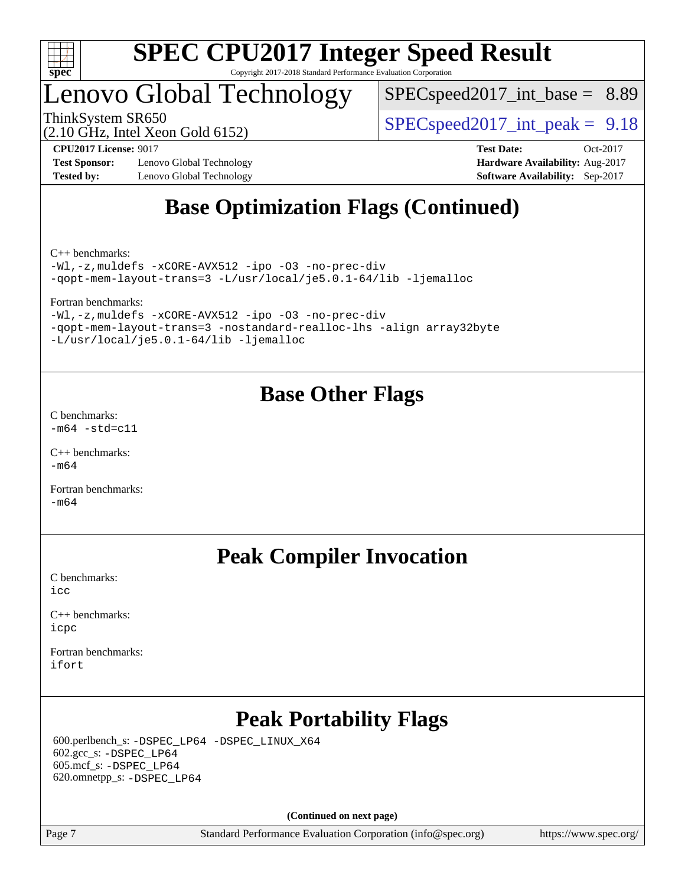

# Lenovo Global Technology

 $SPECspeed2017\_int\_base = 8.89$ 

(2.10 GHz, Intel Xeon Gold 6152)

ThinkSystem SR650  $SPEC speed2017$  int peak = 9.18

**[Test Sponsor:](http://www.spec.org/auto/cpu2017/Docs/result-fields.html#TestSponsor)** Lenovo Global Technology **[Hardware Availability:](http://www.spec.org/auto/cpu2017/Docs/result-fields.html#HardwareAvailability)** Aug-2017 **[Tested by:](http://www.spec.org/auto/cpu2017/Docs/result-fields.html#Testedby)** Lenovo Global Technology **[Software Availability:](http://www.spec.org/auto/cpu2017/Docs/result-fields.html#SoftwareAvailability)** Sep-2017

**[CPU2017 License:](http://www.spec.org/auto/cpu2017/Docs/result-fields.html#CPU2017License)** 9017 **[Test Date:](http://www.spec.org/auto/cpu2017/Docs/result-fields.html#TestDate)** Oct-2017

# **[Base Optimization Flags \(Continued\)](http://www.spec.org/auto/cpu2017/Docs/result-fields.html#BaseOptimizationFlags)**

[C++ benchmarks:](http://www.spec.org/auto/cpu2017/Docs/result-fields.html#CXXbenchmarks)

[-Wl,-z,muldefs](http://www.spec.org/cpu2017/results/res2017q4/cpu2017-20171031-00303.flags.html#user_CXXbase_link_force_multiple1_b4cbdb97b34bdee9ceefcfe54f4c8ea74255f0b02a4b23e853cdb0e18eb4525ac79b5a88067c842dd0ee6996c24547a27a4b99331201badda8798ef8a743f577) [-xCORE-AVX512](http://www.spec.org/cpu2017/results/res2017q4/cpu2017-20171031-00303.flags.html#user_CXXbase_f-xCORE-AVX512) [-ipo](http://www.spec.org/cpu2017/results/res2017q4/cpu2017-20171031-00303.flags.html#user_CXXbase_f-ipo) [-O3](http://www.spec.org/cpu2017/results/res2017q4/cpu2017-20171031-00303.flags.html#user_CXXbase_f-O3) [-no-prec-div](http://www.spec.org/cpu2017/results/res2017q4/cpu2017-20171031-00303.flags.html#user_CXXbase_f-no-prec-div) [-qopt-mem-layout-trans=3](http://www.spec.org/cpu2017/results/res2017q4/cpu2017-20171031-00303.flags.html#user_CXXbase_f-qopt-mem-layout-trans_de80db37974c74b1f0e20d883f0b675c88c3b01e9d123adea9b28688d64333345fb62bc4a798493513fdb68f60282f9a726aa07f478b2f7113531aecce732043) [-L/usr/local/je5.0.1-64/lib](http://www.spec.org/cpu2017/results/res2017q4/cpu2017-20171031-00303.flags.html#user_CXXbase_jemalloc_link_path64_4b10a636b7bce113509b17f3bd0d6226c5fb2346b9178c2d0232c14f04ab830f976640479e5c33dc2bcbbdad86ecfb6634cbbd4418746f06f368b512fced5394) [-ljemalloc](http://www.spec.org/cpu2017/results/res2017q4/cpu2017-20171031-00303.flags.html#user_CXXbase_jemalloc_link_lib_d1249b907c500fa1c0672f44f562e3d0f79738ae9e3c4a9c376d49f265a04b9c99b167ecedbf6711b3085be911c67ff61f150a17b3472be731631ba4d0471706)

[Fortran benchmarks](http://www.spec.org/auto/cpu2017/Docs/result-fields.html#Fortranbenchmarks):

[-Wl,-z,muldefs](http://www.spec.org/cpu2017/results/res2017q4/cpu2017-20171031-00303.flags.html#user_FCbase_link_force_multiple1_b4cbdb97b34bdee9ceefcfe54f4c8ea74255f0b02a4b23e853cdb0e18eb4525ac79b5a88067c842dd0ee6996c24547a27a4b99331201badda8798ef8a743f577) [-xCORE-AVX512](http://www.spec.org/cpu2017/results/res2017q4/cpu2017-20171031-00303.flags.html#user_FCbase_f-xCORE-AVX512) [-ipo](http://www.spec.org/cpu2017/results/res2017q4/cpu2017-20171031-00303.flags.html#user_FCbase_f-ipo) [-O3](http://www.spec.org/cpu2017/results/res2017q4/cpu2017-20171031-00303.flags.html#user_FCbase_f-O3) [-no-prec-div](http://www.spec.org/cpu2017/results/res2017q4/cpu2017-20171031-00303.flags.html#user_FCbase_f-no-prec-div) [-qopt-mem-layout-trans=3](http://www.spec.org/cpu2017/results/res2017q4/cpu2017-20171031-00303.flags.html#user_FCbase_f-qopt-mem-layout-trans_de80db37974c74b1f0e20d883f0b675c88c3b01e9d123adea9b28688d64333345fb62bc4a798493513fdb68f60282f9a726aa07f478b2f7113531aecce732043) [-nostandard-realloc-lhs](http://www.spec.org/cpu2017/results/res2017q4/cpu2017-20171031-00303.flags.html#user_FCbase_f_2003_std_realloc_82b4557e90729c0f113870c07e44d33d6f5a304b4f63d4c15d2d0f1fab99f5daaed73bdb9275d9ae411527f28b936061aa8b9c8f2d63842963b95c9dd6426b8a) [-align array32byte](http://www.spec.org/cpu2017/results/res2017q4/cpu2017-20171031-00303.flags.html#user_FCbase_align_array32byte_b982fe038af199962ba9a80c053b8342c548c85b40b8e86eb3cc33dee0d7986a4af373ac2d51c3f7cf710a18d62fdce2948f201cd044323541f22fc0fffc51b6) [-L/usr/local/je5.0.1-64/lib](http://www.spec.org/cpu2017/results/res2017q4/cpu2017-20171031-00303.flags.html#user_FCbase_jemalloc_link_path64_4b10a636b7bce113509b17f3bd0d6226c5fb2346b9178c2d0232c14f04ab830f976640479e5c33dc2bcbbdad86ecfb6634cbbd4418746f06f368b512fced5394) [-ljemalloc](http://www.spec.org/cpu2017/results/res2017q4/cpu2017-20171031-00303.flags.html#user_FCbase_jemalloc_link_lib_d1249b907c500fa1c0672f44f562e3d0f79738ae9e3c4a9c376d49f265a04b9c99b167ecedbf6711b3085be911c67ff61f150a17b3472be731631ba4d0471706)

## **[Base Other Flags](http://www.spec.org/auto/cpu2017/Docs/result-fields.html#BaseOtherFlags)**

[C benchmarks](http://www.spec.org/auto/cpu2017/Docs/result-fields.html#Cbenchmarks):  $-m64$   $-std=cl1$ 

[C++ benchmarks:](http://www.spec.org/auto/cpu2017/Docs/result-fields.html#CXXbenchmarks) [-m64](http://www.spec.org/cpu2017/results/res2017q4/cpu2017-20171031-00303.flags.html#user_CXXbase_intel_intel64_18.0_af43caccfc8ded86e7699f2159af6efc7655f51387b94da716254467f3c01020a5059329e2569e4053f409e7c9202a7efc638f7a6d1ffb3f52dea4a3e31d82ab)

[Fortran benchmarks](http://www.spec.org/auto/cpu2017/Docs/result-fields.html#Fortranbenchmarks):  $-m64$ 

# **[Peak Compiler Invocation](http://www.spec.org/auto/cpu2017/Docs/result-fields.html#PeakCompilerInvocation)**

[C benchmarks](http://www.spec.org/auto/cpu2017/Docs/result-fields.html#Cbenchmarks): [icc](http://www.spec.org/cpu2017/results/res2017q4/cpu2017-20171031-00303.flags.html#user_CCpeak_intel_icc_18.0_66fc1ee009f7361af1fbd72ca7dcefbb700085f36577c54f309893dd4ec40d12360134090235512931783d35fd58c0460139e722d5067c5574d8eaf2b3e37e92)

[C++ benchmarks:](http://www.spec.org/auto/cpu2017/Docs/result-fields.html#CXXbenchmarks) [icpc](http://www.spec.org/cpu2017/results/res2017q4/cpu2017-20171031-00303.flags.html#user_CXXpeak_intel_icpc_18.0_c510b6838c7f56d33e37e94d029a35b4a7bccf4766a728ee175e80a419847e808290a9b78be685c44ab727ea267ec2f070ec5dc83b407c0218cded6866a35d07)

[Fortran benchmarks](http://www.spec.org/auto/cpu2017/Docs/result-fields.html#Fortranbenchmarks): [ifort](http://www.spec.org/cpu2017/results/res2017q4/cpu2017-20171031-00303.flags.html#user_FCpeak_intel_ifort_18.0_8111460550e3ca792625aed983ce982f94888b8b503583aa7ba2b8303487b4d8a21a13e7191a45c5fd58ff318f48f9492884d4413fa793fd88dd292cad7027ca)

# **[Peak Portability Flags](http://www.spec.org/auto/cpu2017/Docs/result-fields.html#PeakPortabilityFlags)**

 600.perlbench\_s: [-DSPEC\\_LP64](http://www.spec.org/cpu2017/results/res2017q4/cpu2017-20171031-00303.flags.html#b600.perlbench_s_peakPORTABILITY_DSPEC_LP64) [-DSPEC\\_LINUX\\_X64](http://www.spec.org/cpu2017/results/res2017q4/cpu2017-20171031-00303.flags.html#b600.perlbench_s_peakCPORTABILITY_DSPEC_LINUX_X64) 602.gcc\_s: [-DSPEC\\_LP64](http://www.spec.org/cpu2017/results/res2017q4/cpu2017-20171031-00303.flags.html#suite_peakPORTABILITY602_gcc_s_DSPEC_LP64) 605.mcf\_s: [-DSPEC\\_LP64](http://www.spec.org/cpu2017/results/res2017q4/cpu2017-20171031-00303.flags.html#suite_peakPORTABILITY605_mcf_s_DSPEC_LP64) 620.omnetpp\_s: [-DSPEC\\_LP64](http://www.spec.org/cpu2017/results/res2017q4/cpu2017-20171031-00303.flags.html#suite_peakPORTABILITY620_omnetpp_s_DSPEC_LP64)

**(Continued on next page)**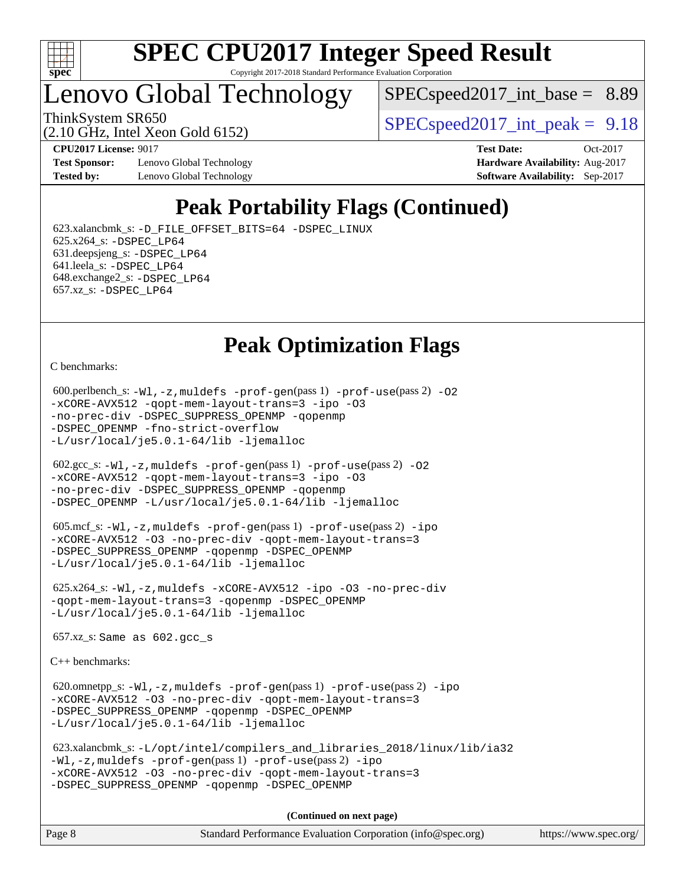

# Lenovo Global Technology

 $SPECspeed2017\_int\_base = 8.89$ 

(2.10 GHz, Intel Xeon Gold 6152)

ThinkSystem SR650  $SPEC speed2017$  int peak = 9.18

**[Test Sponsor:](http://www.spec.org/auto/cpu2017/Docs/result-fields.html#TestSponsor)** Lenovo Global Technology **[Hardware Availability:](http://www.spec.org/auto/cpu2017/Docs/result-fields.html#HardwareAvailability)** Aug-2017 **[Tested by:](http://www.spec.org/auto/cpu2017/Docs/result-fields.html#Testedby)** Lenovo Global Technology **[Software Availability:](http://www.spec.org/auto/cpu2017/Docs/result-fields.html#SoftwareAvailability)** Sep-2017

**[CPU2017 License:](http://www.spec.org/auto/cpu2017/Docs/result-fields.html#CPU2017License)** 9017 **[Test Date:](http://www.spec.org/auto/cpu2017/Docs/result-fields.html#TestDate)** Oct-2017

# **[Peak Portability Flags \(Continued\)](http://www.spec.org/auto/cpu2017/Docs/result-fields.html#PeakPortabilityFlags)**

 623.xalancbmk\_s: [-D\\_FILE\\_OFFSET\\_BITS=64](http://www.spec.org/cpu2017/results/res2017q4/cpu2017-20171031-00303.flags.html#user_peakPORTABILITY623_xalancbmk_s_file_offset_bits_64_5ae949a99b284ddf4e95728d47cb0843d81b2eb0e18bdfe74bbf0f61d0b064f4bda2f10ea5eb90e1dcab0e84dbc592acfc5018bc955c18609f94ddb8d550002c) [-DSPEC\\_LINUX](http://www.spec.org/cpu2017/results/res2017q4/cpu2017-20171031-00303.flags.html#b623.xalancbmk_s_peakCXXPORTABILITY_DSPEC_LINUX) 625.x264\_s: [-DSPEC\\_LP64](http://www.spec.org/cpu2017/results/res2017q4/cpu2017-20171031-00303.flags.html#suite_peakPORTABILITY625_x264_s_DSPEC_LP64) 631.deepsjeng\_s: [-DSPEC\\_LP64](http://www.spec.org/cpu2017/results/res2017q4/cpu2017-20171031-00303.flags.html#suite_peakPORTABILITY631_deepsjeng_s_DSPEC_LP64) 641.leela\_s: [-DSPEC\\_LP64](http://www.spec.org/cpu2017/results/res2017q4/cpu2017-20171031-00303.flags.html#suite_peakPORTABILITY641_leela_s_DSPEC_LP64) 648.exchange2\_s: [-DSPEC\\_LP64](http://www.spec.org/cpu2017/results/res2017q4/cpu2017-20171031-00303.flags.html#suite_peakPORTABILITY648_exchange2_s_DSPEC_LP64) 657.xz\_s: [-DSPEC\\_LP64](http://www.spec.org/cpu2017/results/res2017q4/cpu2017-20171031-00303.flags.html#suite_peakPORTABILITY657_xz_s_DSPEC_LP64)

# **[Peak Optimization Flags](http://www.spec.org/auto/cpu2017/Docs/result-fields.html#PeakOptimizationFlags)**

[C benchmarks](http://www.spec.org/auto/cpu2017/Docs/result-fields.html#Cbenchmarks):

```
600.perlbench_s: -W1, -z, muldefs -prof-gen(pass 1)-prof-use(pass 2) -02
-xCORE-AVX512 -qopt-mem-layout-trans=3 -ipo -O3
-no-prec-div -DSPEC_SUPPRESS_OPENMP -qopenmp
-DSPEC_OPENMP -fno-strict-overflow
-L/usr/local/je5.0.1-64/lib -ljemalloc
 602.gcc_s: -Wl,-z,muldefs -prof-gen(pass 1) -prof-use(pass 2) -O2
-xCORE-AVX512 -qopt-mem-layout-trans=3 -ipo -O3
-no-prec-div -DSPEC_SUPPRESS_OPENMP -qopenmp
-DSPEC_OPENMP -L/usr/local/je5.0.1-64/lib -ljemalloc
 605.mcf_s: -Wl,-z,muldefs -prof-gen(pass 1) -prof-use(pass 2) -ipo
-xCORE-AVX512 -O3 -no-prec-div -qopt-mem-layout-trans=3
-DSPEC_SUPPRESS_OPENMP -qopenmp -DSPEC_OPENMP
-L/usr/local/je5.0.1-64/lib -ljemalloc
 625.x264_s: -Wl,-z,muldefs -xCORE-AVX512 -ipo -O3 -no-prec-div
-qopt-mem-layout-trans=3 -qopenmp -DSPEC_OPENMP
-L/usr/local/je5.0.1-64/lib -ljemalloc
 657.xz_s: Same as 602.gcc_s
C++ benchmarks: 
 620.omnetpp_s: -Wl,-z,muldefs -prof-gen(pass 1) -prof-use(pass 2) -ipo
-xCORE-AVX512 -O3 -no-prec-div -qopt-mem-layout-trans=3
-DSPEC_SUPPRESS_OPENMP -qopenmp -DSPEC_OPENMP
-L/usr/local/je5.0.1-64/lib -ljemalloc
 623.xalancbmk_s: -L/opt/intel/compilers_and_libraries_2018/linux/lib/ia32
-Wl,-z,muldefs -prof-gen(pass 1) -prof-use(pass 2) -ipo
-xCORE-AVX512 -O3 -no-prec-div -qopt-mem-layout-trans=3
-DSPEC_SUPPRESS_OPENMP -qopenmp -DSPEC_OPENMP
                                     (Continued on next page)
```